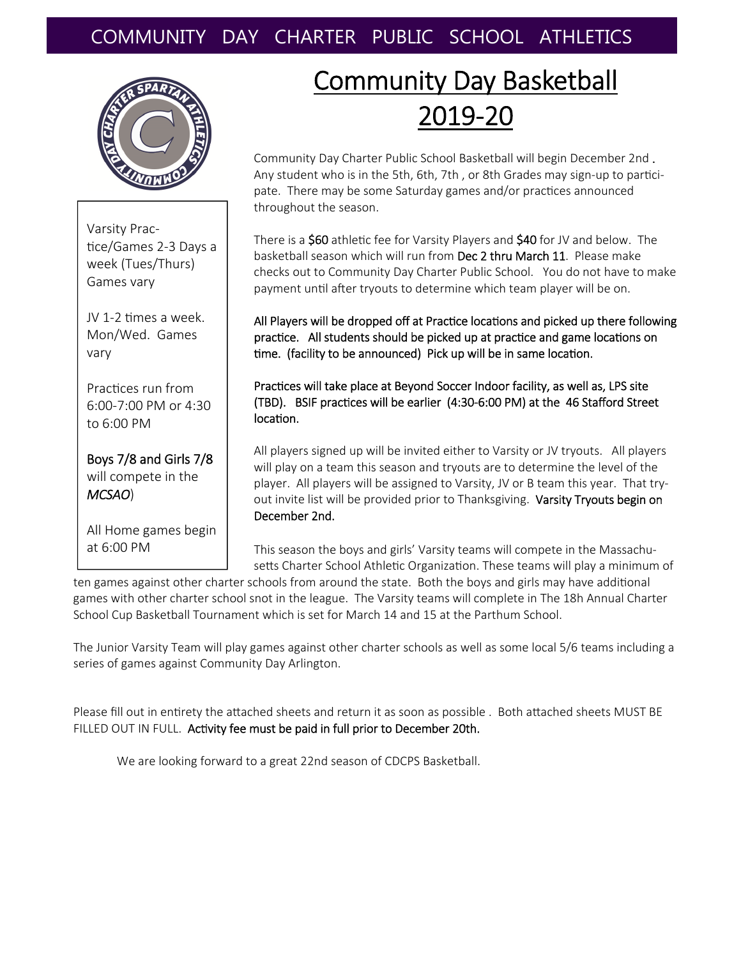## COMMUNITY DAY CHARTER PUBLIC SCHOOL ATHLETICS



Varsity Prac‐ tice/Games 2-3 Days a week (Tues/Thurs) Games vary

JV 1-2 times a week. Mon/Wed. Games vary

Practices run from 6:00‐7:00 PM or 4:30 to 6:00 PM

Boys 7/8 and Girls 7/8 will compete in the *MCSAO*)

All Home games begin at 6:00 PM

# Community Day Basketball 2019‐20

Community Day Charter Public School Basketball will begin December 2nd . Any student who is in the 5th, 6th, 7th, or 8th Grades may sign-up to participate. There may be some Saturday games and/or practices announced throughout the season.

There is a \$60 athletic fee for Varsity Players and \$40 for JV and below. The basketball season which will run from Dec 2 thru March 11. Please make checks out to Community Day Charter Public School. You do not have to make payment until after tryouts to determine which team player will be on.

All Players will be dropped off at Practice locations and picked up there following practice. All students should be picked up at practice and game locations on time. (facility to be announced) Pick up will be in same location.

Practices will take place at Beyond Soccer Indoor facility, as well as, LPS site (TBD). BSIF pracƟces will be earlier (4:30‐6:00 PM) at the 46 Stafford Street location.

All players signed up will be invited either to Varsity or JV tryouts. All players will play on a team this season and tryouts are to determine the level of the player. All players will be assigned to Varsity, JV or B team this year. That try‐ out invite list will be provided prior to Thanksgiving. Varsity Tryouts begin on December 2nd.

This season the boys and girls' Varsity teams will compete in the Massachu‐ setts Charter School Athletic Organization. These teams will play a minimum of

ten games against other charter schools from around the state. Both the boys and girls may have additional games with other charter school snot in the league. The Varsity teams will complete in The 18h Annual Charter School Cup Basketball Tournament which is set for March 14 and 15 at the Parthum School.

The Junior Varsity Team will play games against other charter schools as well as some local 5/6 teams including a series of games against Community Day Arlington.

Please fill out in entirety the attached sheets and return it as soon as possible . Both attached sheets MUST BE FILLED OUT IN FULL. Activity fee must be paid in full prior to December 20th.

We are looking forward to a great 22nd season of CDCPS Basketball.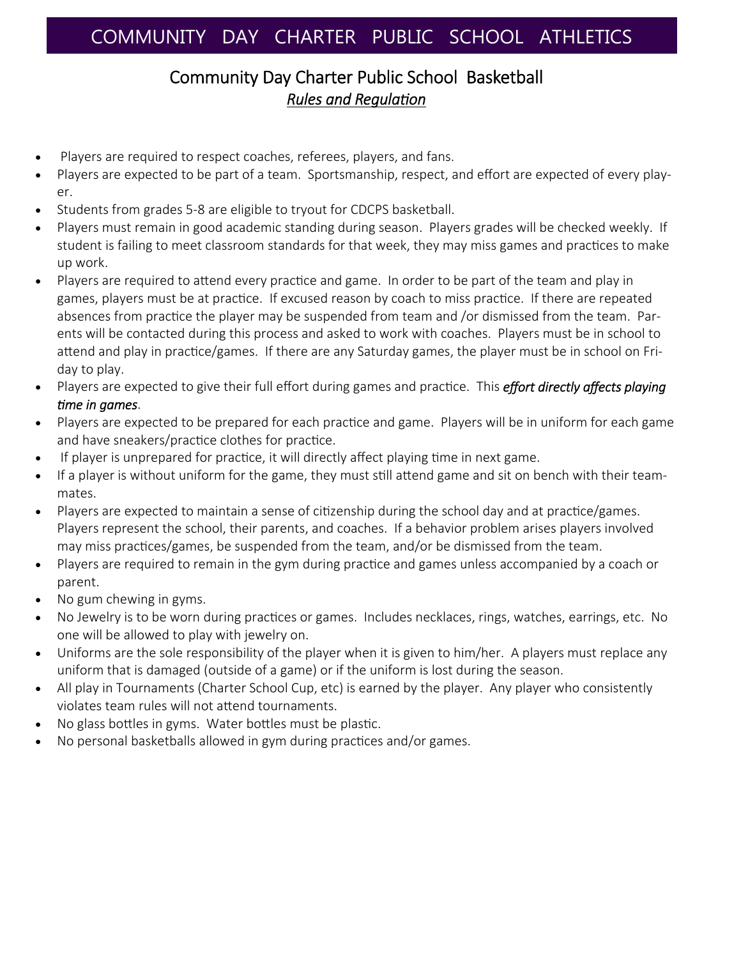#### Community Day Charter Public School Basketball *Rules and RegulaƟon*

- Players are required to respect coaches, referees, players, and fans.
- Players are expected to be part of a team. Sportsmanship, respect, and effort are expected of every play‐ er.
- Students from grades 5‐8 are eligible to tryout for CDCPS basketball.
- Players must remain in good academic standing during season. Players grades will be checked weekly. If student is failing to meet classroom standards for that week, they may miss games and practices to make up work.
- Players are required to attend every practice and game. In order to be part of the team and play in games, players must be at practice. If excused reason by coach to miss practice. If there are repeated absences from practice the player may be suspended from team and /or dismissed from the team. Parents will be contacted during this process and asked to work with coaches. Players must be in school to attend and play in practice/games. If there are any Saturday games, the player must be in school on Friday to play.
- $\bullet$  Players are expected to give their full effort during games and practice. This *effort directly affects playing Ɵme in games*.
- Players are expected to be prepared for each practice and game. Players will be in uniform for each game and have sneakers/practice clothes for practice.
- If player is unprepared for practice, it will directly affect playing time in next game.
- If a player is without uniform for the game, they must still attend game and sit on bench with their teammates.
- Players are expected to maintain a sense of citizenship during the school day and at practice/games. Players represent the school, their parents, and coaches. If a behavior problem arises players involved may miss practices/games, be suspended from the team, and/or be dismissed from the team.
- Players are required to remain in the gym during practice and games unless accompanied by a coach or parent.
- No gum chewing in gyms.
- No Jewelry is to be worn during practices or games. Includes necklaces, rings, watches, earrings, etc. No one will be allowed to play with jewelry on.
- Uniforms are the sole responsibility of the player when it is given to him/her. A players must replace any uniform that is damaged (outside of a game) or if the uniform is lost during the season.
- All play in Tournaments (Charter School Cup, etc) is earned by the player. Any player who consistently violates team rules will not attend tournaments.
- No glass bottles in gyms. Water bottles must be plastic.
- No personal basketballs allowed in gym during practices and/or games.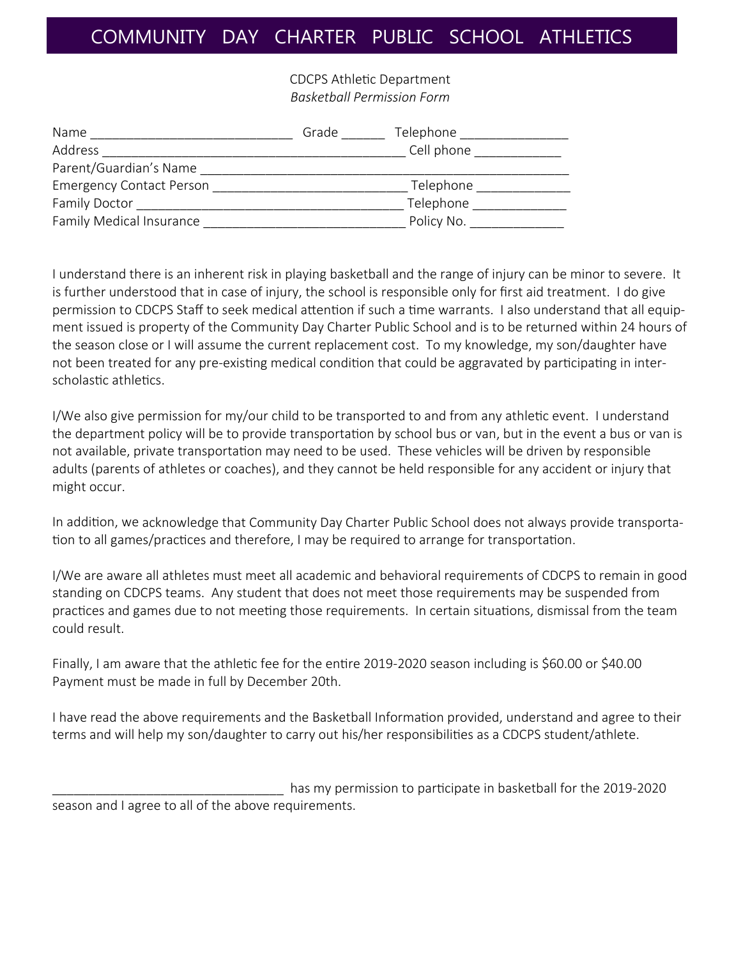### COMMUNITY DAY CHARTER PUBLIC SCHOOL ATHLETICS

CDCPS AthleƟc Department *Basketball Permission Form*

| Name                            | Grade | Telephone  |
|---------------------------------|-------|------------|
| Address                         |       | Cell phone |
| Parent/Guardian's Name          |       |            |
| <b>Emergency Contact Person</b> |       | Telephone  |
| <b>Family Doctor</b>            |       | Telephone  |
| <b>Family Medical Insurance</b> |       | Policy No. |

I understand there is an inherent risk in playing basketball and the range of injury can be minor to severe. It is further understood that in case of injury, the school is responsible only for first aid treatment. I do give permission to CDCPS Staff to seek medical attention if such a time warrants. I also understand that all equipment issued is property of the Community Day Charter Public School and is to be returned within 24 hours of the season close or I will assume the current replacement cost. To my knowledge, my son/daughter have not been treated for any pre-existing medical condition that could be aggravated by participating in interscholastic athletics.

I/We also give permission for my/our child to be transported to and from any athletic event. I understand the department policy will be to provide transportation by school bus or van, but in the event a bus or van is not available, private transportation may need to be used. These vehicles will be driven by responsible adults (parents of athletes or coaches), and they cannot be held responsible for any accident or injury that might occur.

In addition, we acknowledge that Community Day Charter Public School does not always provide transportation to all games/practices and therefore, I may be required to arrange for transportation.

I/We are aware all athletes must meet all academic and behavioral requirements of CDCPS to remain in good standing on CDCPS teams. Any student that does not meet those requirements may be suspended from practices and games due to not meeting those requirements. In certain situations, dismissal from the team could result.

Finally, I am aware that the athletic fee for the entire 2019-2020 season including is \$60.00 or \$40.00 Payment must be made in full by December 20th.

I have read the above requirements and the Basketball Information provided, understand and agree to their terms and will help my son/daughter to carry out his/her responsibilities as a CDCPS student/athlete.

has my permission to participate in basketball for the 2019-2020 season and I agree to all of the above requirements.